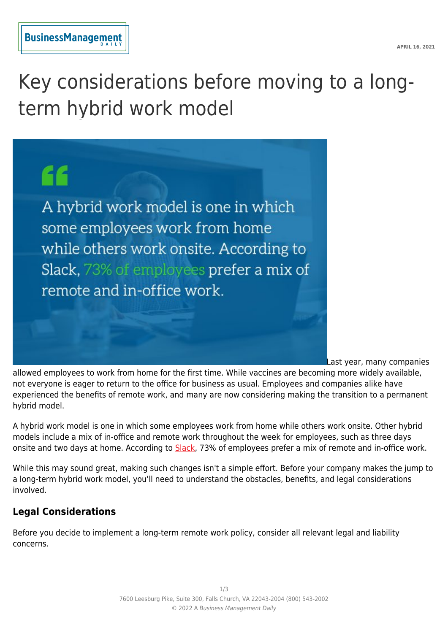Key considerations before moving to a longterm hybrid work model

"

A hybrid work model is one in which some employees work from home while others work onsite. According to Slack, 73% of employees prefer a mix of remote and in-office work.

Last year, many companies

allowed employees to work from home for the first time. While vaccines are becoming more widely available, not everyone is eager to return to the office for business as usual. Employees and companies alike have experienced the benefits of remote work, and many are now considering making the transition to a permanent hybrid model.

A hybrid work model is one in which some employees work from home while others work onsite. Other hybrid models include a mix of in-office and remote work throughout the week for employees, such as three days onsite and two days at home. According to [Slack](https://slack.com/blog/collaboration/workplace-transformation-in-the-wake-of-covid-19), 73% of employees prefer a mix of remote and in-office work.

While this may sound great, making such changes isn't a simple effort. Before your company makes the jump to a long-term hybrid work model, you'll need to understand the obstacles, benefits, and legal considerations involved.

# **Legal Considerations**

Before you decide to implement a long-term remote work policy, consider all relevant legal and liability concerns.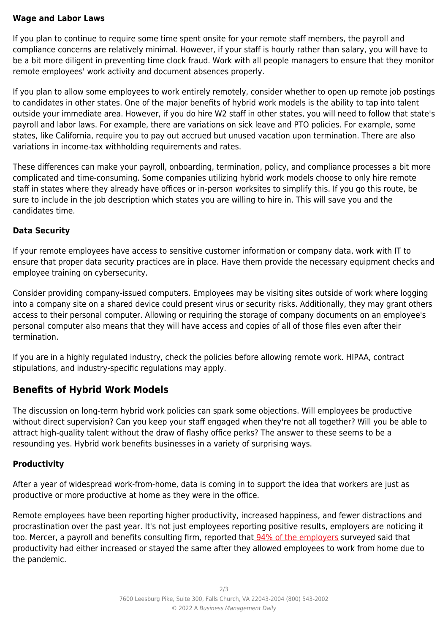#### **Wage and Labor Laws**

If you plan to continue to require some time spent onsite for your remote staff members, the payroll and compliance concerns are relatively minimal. However, if your staff is hourly rather than salary, you will have to be a bit more diligent in preventing time clock fraud. Work with all people managers to ensure that they monitor remote employees' work activity and document absences properly.

If you plan to allow some employees to work entirely remotely, consider whether to open up remote job postings to candidates in other states. One of the major benefits of hybrid work models is the ability to tap into talent outside your immediate area. However, if you do hire W2 staff in other states, you will need to follow that state's payroll and labor laws. For example, there are variations on sick leave and PTO policies. For example, some states, like California, require you to pay out accrued but unused vacation upon termination. There are also variations in income-tax withholding requirements and rates.

These differences can make your payroll, onboarding, termination, policy, and compliance processes a bit more complicated and time-consuming. Some companies utilizing hybrid work models choose to only hire remote staff in states where they already have offices or in-person worksites to simplify this. If you go this route, be sure to include in the job description which states you are willing to hire in. This will save you and the candidates time.

#### **Data Security**

If your remote employees have access to sensitive customer information or company data, work with IT to ensure that proper data security practices are in place. Have them provide the necessary equipment checks and employee training on cybersecurity.

Consider providing company-issued computers. Employees may be visiting sites outside of work where logging into a company site on a shared device could present virus or security risks. Additionally, they may grant others access to their personal computer. Allowing or requiring the storage of company documents on an employee's personal computer also means that they will have access and copies of all of those files even after their termination.

If you are in a highly regulated industry, check the policies before allowing remote work. HIPAA, contract stipulations, and industry-specific regulations may apply.

## **Benefits of Hybrid Work Models**

The discussion on long-term hybrid work policies can spark some objections. Will employees be productive without direct supervision? Can you keep your staff engaged when they're not all together? Will you be able to attract high-quality talent without the draw of flashy office perks? The answer to these seems to be a resounding yes. Hybrid work benefits businesses in a variety of surprising ways.

#### **Productivity**

After a year of widespread work-from-home, data is coming in to support the idea that workers are just as productive or more productive at home as they were in the office.

Remote employees have been reporting higher productivity, increased happiness, and fewer distractions and procrastination over the past year. It's not just employees reporting positive results, employers are noticing it too. Mercer, a payroll and benefits consulting firm, reported that [94% of the employers](https://www.shrm.org/hr-today/news/hr-news/pages/study-productivity-shift-remote-work-covid-coronavirus.aspx) surveyed said that productivity had either increased or stayed the same after they allowed employees to work from home due to the pandemic.